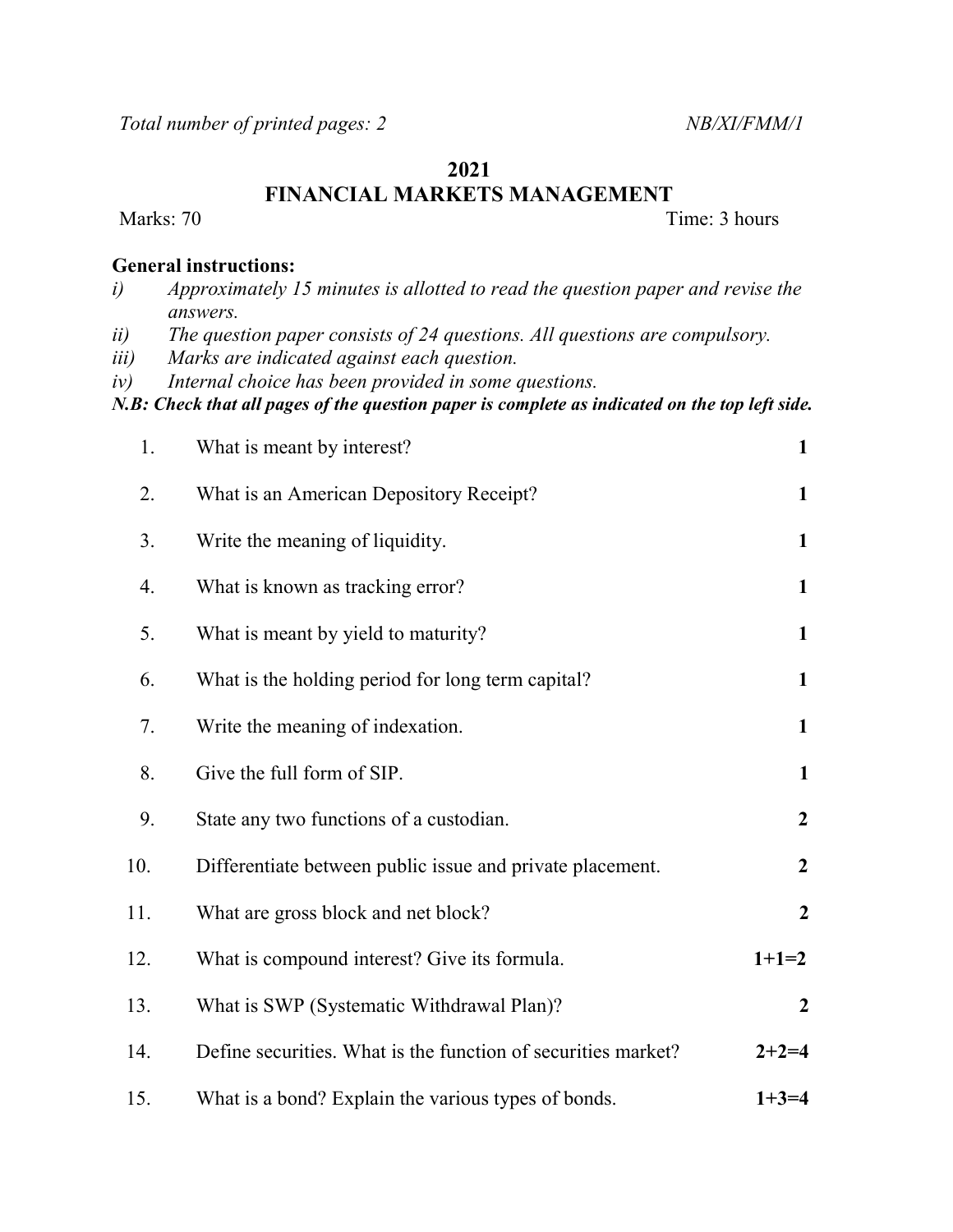## 2021

FINANCIAL MARKETS MANAGEMENT

Marks: 70 Time: 3 hours

## General instructions:

| Approximately 15 minutes is allotted to read the question paper and revise the |
|--------------------------------------------------------------------------------|
| answers.                                                                       |

ii) The question paper consists of 24 questions. All questions are compulsory.

iii) Marks are indicated against each question.

iv) Internal choice has been provided in some questions.

N.B: Check that all pages of the question paper is complete as indicated on the top left side.

| 1.  | What is meant by interest?                                    | $\mathbf{1}$     |
|-----|---------------------------------------------------------------|------------------|
| 2.  | What is an American Depository Receipt?                       | $\mathbf{1}$     |
| 3.  | Write the meaning of liquidity.                               | $\mathbf{1}$     |
| 4.  | What is known as tracking error?                              | $\mathbf{1}$     |
| 5.  | What is meant by yield to maturity?                           | $\mathbf{1}$     |
| 6.  | What is the holding period for long term capital?             | $\mathbf{1}$     |
| 7.  | Write the meaning of indexation.                              | $\mathbf{1}$     |
| 8.  | Give the full form of SIP.                                    | $\mathbf{1}$     |
| 9.  | State any two functions of a custodian.                       | $\boldsymbol{2}$ |
| 10. | Differentiate between public issue and private placement.     | $\boldsymbol{2}$ |
| 11. | What are gross block and net block?                           | $\boldsymbol{2}$ |
| 12. | What is compound interest? Give its formula.                  | $1+1=2$          |
| 13. | What is SWP (Systematic Withdrawal Plan)?                     | $\boldsymbol{2}$ |
| 14. | Define securities. What is the function of securities market? | $2+2=4$          |
| 15. | What is a bond? Explain the various types of bonds.           | $1+3=4$          |